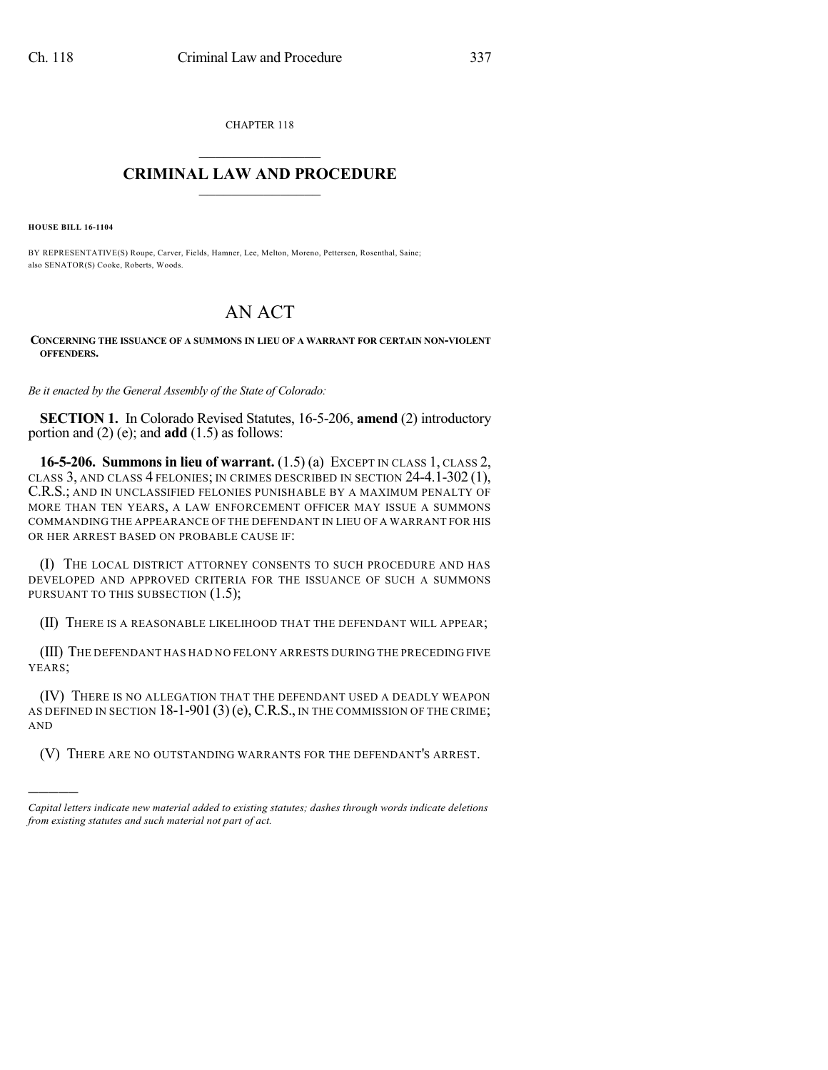CHAPTER 118  $\mathcal{L}_\text{max}$  . The set of the set of the set of the set of the set of the set of the set of the set of the set of the set of the set of the set of the set of the set of the set of the set of the set of the set of the set

## **CRIMINAL LAW AND PROCEDURE**  $\frac{1}{2}$  ,  $\frac{1}{2}$  ,  $\frac{1}{2}$  ,  $\frac{1}{2}$  ,  $\frac{1}{2}$  ,  $\frac{1}{2}$  ,  $\frac{1}{2}$

**HOUSE BILL 16-1104**

)))))

BY REPRESENTATIVE(S) Roupe, Carver, Fields, Hamner, Lee, Melton, Moreno, Pettersen, Rosenthal, Saine; also SENATOR(S) Cooke, Roberts, Woods.

## AN ACT

**CONCERNING THE ISSUANCE OF A SUMMONS IN LIEU OF A WARRANT FOR CERTAIN NON-VIOLENT OFFENDERS.**

*Be it enacted by the General Assembly of the State of Colorado:*

**SECTION 1.** In Colorado Revised Statutes, 16-5-206, **amend** (2) introductory portion and (2) (e); and **add** (1.5) as follows:

**16-5-206. Summons in lieu of warrant.** (1.5) (a) EXCEPT IN CLASS 1, CLASS 2, CLASS 3, AND CLASS 4 FELONIES; IN CRIMES DESCRIBED IN SECTION 24-4.1-302 (1), C.R.S.; AND IN UNCLASSIFIED FELONIES PUNISHABLE BY A MAXIMUM PENALTY OF MORE THAN TEN YEARS, A LAW ENFORCEMENT OFFICER MAY ISSUE A SUMMONS COMMANDING THE APPEARANCE OF THE DEFENDANT IN LIEU OF A WARRANT FOR HIS OR HER ARREST BASED ON PROBABLE CAUSE IF:

(I) THE LOCAL DISTRICT ATTORNEY CONSENTS TO SUCH PROCEDURE AND HAS DEVELOPED AND APPROVED CRITERIA FOR THE ISSUANCE OF SUCH A SUMMONS PURSUANT TO THIS SUBSECTION  $(1.5)$ ;

(II) THERE IS A REASONABLE LIKELIHOOD THAT THE DEFENDANT WILL APPEAR;

(III) THE DEFENDANT HAS HAD NO FELONY ARRESTS DURING THE PRECEDING FIVE YEARS;

(IV) THERE IS NO ALLEGATION THAT THE DEFENDANT USED A DEADLY WEAPON AS DEFINED IN SECTION 18-1-901 (3) (e), C.R.S., IN THE COMMISSION OF THE CRIME; AND

(V) THERE ARE NO OUTSTANDING WARRANTS FOR THE DEFENDANT'S ARREST.

*Capital letters indicate new material added to existing statutes; dashes through words indicate deletions from existing statutes and such material not part of act.*